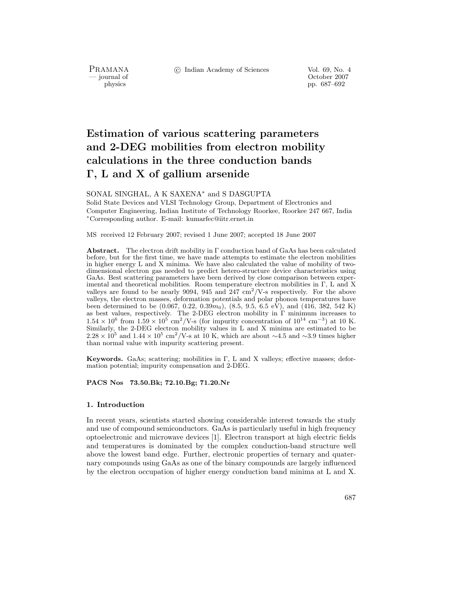c Indian Academy of Sciences Vol. 69, No. 4

PRAMANA<br>— journal of

urnal of Corollace Corollace Corollace Corollace Corollace Corollace Corollace Corollace Corollace Corollace Corollace Corollace Corollace Corollace Corollace Corollace Corollace Corollace Corollace Corollace Corollace Cor pp. 687–692

# **Estimation of various scattering parameters and 2-DEG mobilities from electron mobility calculations in the three conduction bands Γ, L and X of gallium arsenide**

SONAL SINGHAL, A K SAXENA∗ and S DASGUPTA

Solid State Devices and VLSI Technology Group, Department of Electronics and Computer Engineering, Indian Institute of Technology Roorkee, Roorkee 247 667, India <sup>∗</sup>Corresponding author. E-mail: kumarfec@iitr.ernet.in

MS received 12 February 2007; revised 1 June 2007; accepted 18 June 2007

**Abstract.** The electron drift mobility in Γ conduction band of GaAs has been calculated before, but for the first time, we have made attempts to estimate the electron mobilities in higher energy L and X minima. We have also calculated the value of mobility of twodimensional electron gas needed to predict hetero-structure device characteristics using GaAs. Best scattering parameters have been derived by close comparison between experimental and theoretical mobilities. Room temperature electron mobilities in Γ, L and X valleys are found to be nearly 9094, 945 and 247  $\text{cm}^2/\text{V-s}$  respectively. For the above valleys, the electron masses, deformation potentials and polar phonon temperatures have been determined to be  $(0.067, 0.22, 0.39m_0)$ ,  $(8.5, 9.5, 6.5 \text{ eV})$ , and  $(416, 382, 542 \text{ K})$ as best values, respectively. The 2-DEG electron mobility in Γ minimum increases to  $1.54 \times 10^6$  from  $1.59 \times 10^5$  cm<sup>2</sup>/V-s (for impurity concentration of  $10^{14}$  cm<sup>-3</sup>) at 10 K. Similarly, the 2-DEG electron mobility values in L and X minima are estimated to be  $2.28 \times 10^5$  and  $1.44 \times 10^5$  cm<sup>2</sup>/V-s at 10 K, which are about ~4.5 and ~3.9 times higher than normal value with impurity scattering present.

**Keywords.** GaAs; scattering; mobilities in  $\Gamma$ , L and X valleys; effective masses; deformation potential; impurity compensation and 2-DEG.

#### **PACS Nos 73.50.Bk; 72.10.Bg; 71.20.Nr**

#### **1. Introduction**

In recent years, scientists started showing considerable interest towards the study and use of compound semiconductors. GaAs is particularly useful in high frequency optoelectronic and microwave devices [1]. Electron transport at high electric fields and temperatures is dominated by the complex conduction-band structure well above the lowest band edge. Further, electronic properties of ternary and quaternary compounds using GaAs as one of the binary compounds are largely influenced by the electron occupation of higher energy conduction band minima at L and X.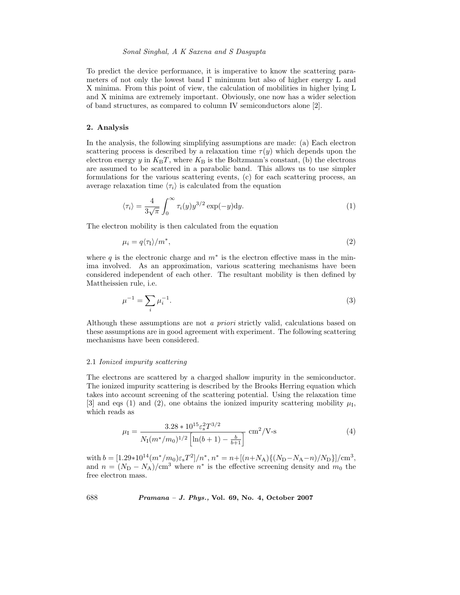## *Sonal Singhal, A K Saxena and S Dasgupta*

To predict the device performance, it is imperative to know the scattering parameters of not only the lowest band  $\Gamma$  minimum but also of higher energy L and X minima. From this point of view, the calculation of mobilities in higher lying L and X minima are extremely important. Obviously, one now has a wider selection of band structures, as compared to column IV semiconductors alone [2].

## **2. Analysis**

In the analysis, the following simplifying assumptions are made: (a) Each electron scattering process is described by a relaxation time  $\tau(y)$  which depends upon the electron energy y in  $K_{\rm B}T$ , where  $K_{\rm B}$  is the Boltzmann's constant, (b) the electrons are assumed to be scattered in a parabolic band. This allows us to use simpler formulations for the various scattering events, (c) for each scattering process, an average relaxation time  $\langle \tau_i \rangle$  is calculated from the equation

$$
\langle \tau_i \rangle = \frac{4}{3\sqrt{\pi}} \int_0^\infty \tau_i(y) y^{3/2} \exp(-y) \mathrm{d}y. \tag{1}
$$

The electron mobility is then calculated from the equation

$$
\mu_i = q \langle \tau_1 \rangle / m^*,\tag{2}
$$

where q is the electronic charge and  $m^*$  is the electron effective mass in the minima involved. As an approximation, various scattering mechanisms have been considered independent of each other. The resultant mobility is then defined by Mattheissien rule, i.e.

$$
\mu^{-1} = \sum_{i} \mu_i^{-1}.\tag{3}
$$

Although these assumptions are not *a priori* strictly valid, calculations based on these assumptions are in good agreement with experiment. The following scattering mechanisms have been considered.

#### 2.1 *Ionized impurity scattering*

The electrons are scattered by a charged shallow impurity in the semiconductor. The ionized impurity scattering is described by the Brooks Herring equation which takes into account screening of the scattering potential. Using the relaxation time [3] and eqs (1) and (2), one obtains the ionized impurity scattering mobility  $\mu_I$ , which reads as

$$
\mu_{\rm I} = \frac{3.28 \times 10^{15} \varepsilon_{\rm s}^2 T^{3/2}}{N_{\rm I}(m^*/m_0)^{1/2} \left[ \ln(b+1) - \frac{b}{b+1} \right]} \text{ cm}^2/\text{V-s}
$$
 (4)

with  $b = [1.29*10^{14}(m^*/m_0)\varepsilon_sT^2]/n^*, n^* = n + [(n+N_A)\{(N_D-N_A-n)/N_D\}]/\text{cm}^3,$ and  $n = (N_D - N_A)/\text{cm}^3$  where  $n^*$  is the effective screening density and  $m_0$  the free electron mass.

688 *Pramana – J. Phys.,* **Vol. 69, No. 4, October 2007**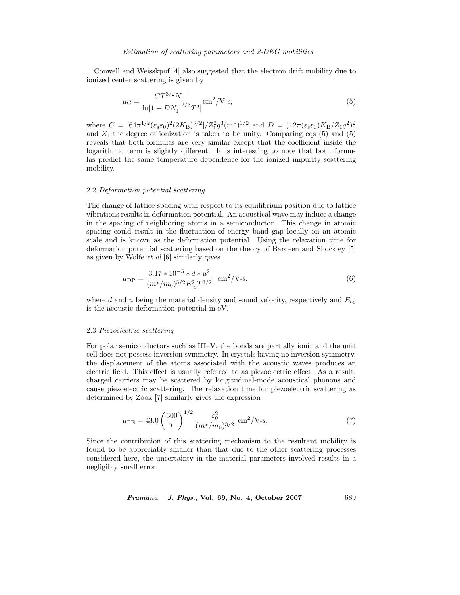#### *Estimation of scattering parameters and 2-DEG mobilities*

Conwell and Weisskpof [4] also suggested that the electron drift mobility due to ionized center scattering is given by

$$
\mu_C = \frac{CT^{3/2}N_1^{-1}}{\ln[1 + DN_1^{-2/3}T^2]} \text{cm}^2/\text{V-s},\tag{5}
$$

where  $C = [64\pi^{1/2}(\epsilon_{s}\epsilon_{0})^{2}(2K_{B})^{3/2}]/Z_{1}^{2}q^{3}(m^{*})^{1/2}$  and  $D = (12\pi(\epsilon_{s}\epsilon_{0})K_{B}/Z_{1}q^{2})^{2}$ and  $Z_1$  the degree of ionization is taken to be unity. Comparing eqs (5) and (5) reveals that both formulas are very similar except that the coefficient inside the logarithmic term is slightly different. It is interesting to note that both formulas predict the same temperature dependence for the ionized impurity scattering mobility.

## 2.2 *Deformation potential scattering*

The change of lattice spacing with respect to its equilibrium position due to lattice vibrations results in deformation potential. An acoustical wave may induce a change in the spacing of neighboring atoms in a semiconductor. This change in atomic spacing could result in the fluctuation of energy band gap locally on an atomic scale and is known as the deformation potential. Using the relaxation time for deformation potential scattering based on the theory of Bardeen and Shockley [5] as given by Wolfe *et al* [6] similarly gives

$$
\mu_{\rm DP} = \frac{3.17 \times 10^{-5} \times d \times u^2}{(m^*/m_0)^{5/2} E_{c_1}^2 T^{3/2}} \quad \text{cm}^2/\text{V-s},\tag{6}
$$

where d and u being the material density and sound velocity, respectively and  $E_{c_1}$ is the acoustic deformation potential in eV.

#### 2.3 *Piezoelectric scattering*

For polar semiconductors such as III–V, the bonds are partially ionic and the unit cell does not possess inversion symmetry. In crystals having no inversion symmetry, the displacement of the atoms associated with the acoustic waves produces an electric field. This effect is usually referred to as piezoelectric effect. As a result, charged carriers may be scattered by longitudinal-mode acoustical phonons and cause piezoelectric scattering. The relaxation time for piezoelectric scattering as determined by Zook [7] similarly gives the expression

$$
\mu_{\rm PE} = 43.0 \left(\frac{300}{T}\right)^{1/2} \frac{\varepsilon_0^2}{(m^*/m_0)^{3/2}} \text{ cm}^2/\text{V-s.}
$$
 (7)

Since the contribution of this scattering mechanism to the resultant mobility is found to be appreciably smaller than that due to the other scattering processes considered here, the uncertainty in the material parameters involved results in a negligibly small error.

*Pramana – J. Phys.,* **Vol. 69, No. 4, October 2007** 689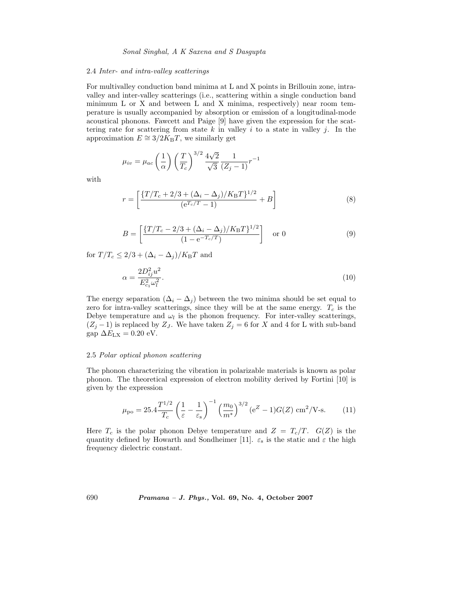#### 2.4 *Inter- and intra-valley scatterings*

For multivalley conduction band minima at L and X points in Brillouin zone, intravalley and inter-valley scatterings (i.e., scattering within a single conduction band minimum L or X and between L and X minima, respectively) near room temperature is usually accompanied by absorption or emission of a longitudinal-mode acoustical phonons. Fawcett and Paige [9] have given the expression for the scattering rate for scattering from state k in valley i to a state in valley j. In the approximation  $E \cong 3/2K_{\rm B}T$ , we similarly get

$$
\mu_{iv} = \mu_{ac} \left(\frac{1}{\alpha}\right) \left(\frac{T}{T_c}\right)^{3/2} \frac{4\sqrt{2}}{\sqrt{3}} \frac{1}{(Z_j - 1)} r^{-1}
$$

with

$$
r = \left[ \frac{\{T/T_c + 2/3 + (\Delta_i - \Delta_j)/K_{\rm B}T\}^{1/2}}{(e^{T_c/T} - 1)} + B \right]
$$
(8)

$$
B = \left[ \frac{\{T/T_c - 2/3 + (\Delta_i - \Delta_j)/K_{\rm B}T\}^{1/2}}{(1 - e^{-T_c/T})} \right] \quad \text{or } 0 \tag{9}
$$

for  $T/T_c \leq 2/3 + (\Delta_i - \Delta_j)/K_{\rm B}T$  and

$$
\alpha = \frac{2D_{ij}^2 u^2}{E_{ci}^2 \omega_l^2}.
$$
\n(10)

The energy separation  $(\Delta_i - \Delta_j)$  between the two minima should be set equal to zero for intra-valley scatterings, since they will be at the same energy.  $T_c$  is the Debye temperature and  $\omega_l$  is the phonon frequency. For inter-valley scatterings,  $(Z_j - 1)$  is replaced by  $Z_j$ . We have taken  $Z_j = 6$  for X and 4 for L with sub-band gap  $\Delta E_{\text{LX}} = 0.20 \text{ eV}.$ 

## 2.5 *Polar optical phonon scattering*

The phonon characterizing the vibration in polarizable materials is known as polar phonon. The theoretical expression of electron mobility derived by Fortini [10] is given by the expression

$$
\mu_{\rm po} = 25.4 \frac{T^{1/2}}{T_c} \left(\frac{1}{\varepsilon} - \frac{1}{\varepsilon_s}\right)^{-1} \left(\frac{m_0}{m^*}\right)^{3/2} \left(e^Z - 1\right) G(Z) \, \text{cm}^2/\text{V-s}.\tag{11}
$$

Here  $T_c$  is the polar phonon Debye temperature and  $Z = T_c/T$ .  $G(Z)$  is the quantity defined by Howarth and Sondheimer [11].  $\varepsilon_s$  is the static and  $\varepsilon$  the high frequency dielectric constant.

690 *Pramana – J. Phys.,* **Vol. 69, No. 4, October 2007**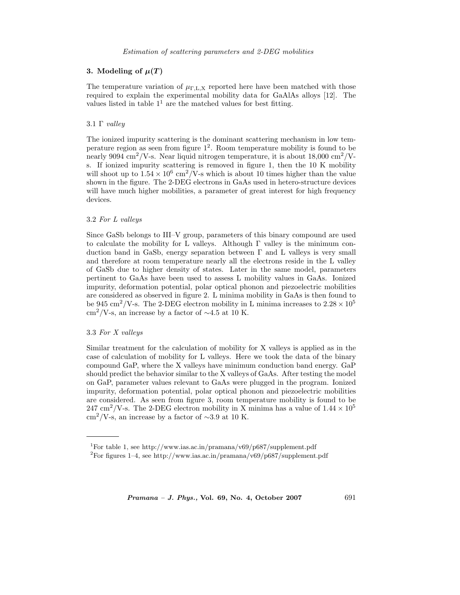## **3.** Modeling of  $\mu(T)$

The temperature variation of  $\mu_{\text{F,L,X}}$  reported here have been matched with those required to explain the experimental mobility data for GaAlAs alloys [12]. The values listed in table  $1<sup>1</sup>$  are the matched values for best fitting.

# 3.1 Γ *valley*

The ionized impurity scattering is the dominant scattering mechanism in low temperature region as seen from figure  $1^2$ . Room temperature mobility is found to be nearly 9094 cm<sup>2</sup>/V-s. Near liquid nitrogen temperature, it is about 18,000 cm<sup>2</sup>/Vs. If ionized impurity scattering is removed in figure 1, then the 10 K mobility will shoot up to  $1.54 \times 10^6$  cm<sup>2</sup>/V-s which is about 10 times higher than the value shown in the figure. The 2-DEG electrons in GaAs used in hetero-structure devices will have much higher mobilities, a parameter of great interest for high frequency devices.

## 3.2 *For L valleys*

Since GaSb belongs to III–V group, parameters of this binary compound are used to calculate the mobility for L valleys. Although  $\Gamma$  valley is the minimum conduction band in GaSb, energy separation between  $\Gamma$  and  $\Gamma$  valleys is very small and therefore at room temperature nearly all the electrons reside in the L valley of GaSb due to higher density of states. Later in the same model, parameters pertinent to GaAs have been used to assess L mobility values in GaAs. Ionized impurity, deformation potential, polar optical phonon and piezoelectric mobilities are considered as observed in figure 2. L minima mobility in GaAs is then found to be 945 cm<sup>2</sup>/V-s. The 2-DEG electron mobility in L minima increases to  $2.28 \times 10^5$ cm<sup>2</sup>/V-s, an increase by a factor of  $\sim$ 4.5 at 10 K.

## 3.3 *For X valleys*

Similar treatment for the calculation of mobility for X valleys is applied as in the case of calculation of mobility for L valleys. Here we took the data of the binary compound GaP, where the X valleys have minimum conduction band energy. GaP should predict the behavior similar to the X valleys of GaAs. After testing the model on GaP, parameter values relevant to GaAs were plugged in the program. Ionized impurity, deformation potential, polar optical phonon and piezoelectric mobilities are considered. As seen from figure 3, room temperature mobility is found to be 247 cm<sup>2</sup>/V-s. The 2-DEG electron mobility in X minima has a value of  $1.44 \times 10^5$ cm<sup>2</sup>/V-s, an increase by a factor of  $\sim$ 3.9 at 10 K.

*Pramana – J. Phys.,* **Vol. 69, No. 4, October 2007** 691

<sup>&</sup>lt;sup>1</sup>For table 1, see http://www.ias.ac.in/pramana/v69/p687/supplement.pdf

<sup>&</sup>lt;sup>2</sup>For figures 1–4, see http://www.ias.ac.in/pramana/v69/p687/supplement.pdf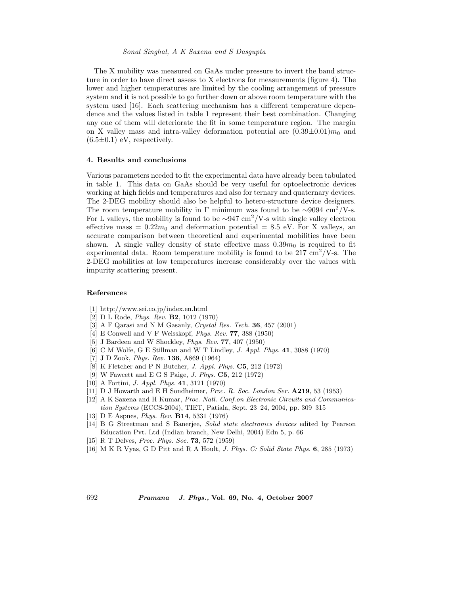The X mobility was measured on GaAs under pressure to invert the band structure in order to have direct assess to X electrons for measurements (figure 4). The lower and higher temperatures are limited by the cooling arrangement of pressure system and it is not possible to go further down or above room temperature with the system used [16]. Each scattering mechanism has a different temperature dependence and the values listed in table 1 represent their best combination. Changing any one of them will deteriorate the fit in some temperature region. The margin on X valley mass and intra-valley deformation potential are  $(0.39\pm0.01)m_0$  and  $(6.5\pm0.1)$  eV, respectively.

## **4. Results and conclusions**

Various parameters needed to fit the experimental data have already been tabulated in table 1. This data on GaAs should be very useful for optoelectronic devices working at high fields and temperatures and also for ternary and quaternary devices. The 2-DEG mobility should also be helpful to hetero-structure device designers. The room temperature mobility in Γ minimum was found to be  $\sim$ 9094 cm<sup>2</sup>/V-s. For L valleys, the mobility is found to be  $\sim 947 \text{ cm}^2/\text{V-s}$  with single valley electron effective mass =  $0.22m_0$  and deformation potential = 8.5 eV. For X valleys, an accurate comparison between theoretical and experimental mobilities have been shown. A single valley density of state effective mass  $0.39m<sub>0</sub>$  is required to fit experimental data. Room temperature mobility is found to be  $217 \text{ cm}^2/\text{V-s}$ . The 2-DEG mobilities at low temperatures increase considerably over the values with impurity scattering present.

#### **References**

- [1] http://www.sei.co.jp/index.en.html
- [2] D L Rode, *Phys. Rev.* **B2**, 1012 (1970)
- [3] A F Qarasi and N M Gasanly, *Crystal Res. Tech.* **36**, 457 (2001)
- [4] E Conwell and V F Weisskopf, *Phys. Rev.* **77**, 388 (1950)
- [5] J Bardeen and W Shockley, *Phys. Rev.* **77**, 407 (1950)
- [6] C M Wolfe, G E Stillman and W T Lindley, *J. Appl. Phys.* **41**, 3088 (1970)
- [7] J D Zook, *Phys. Rev.* **136**, A869 (1964)
- [8] K Fletcher and P N Butcher, *J. Appl. Phys.* **C5**, 212 (1972)
- [9] W Fawcett and E G S Paige, *J. Phys.* **C5**, 212 (1972)
- [10] A Fortini, *J. Appl. Phys.* **41**, 3121 (1970)
- [11] D J Howarth and E H Sondheimer, *Proc. R. Soc. London Ser.* **A219**, 53 (1953)
- [12] A K Saxena and H Kumar, *Proc. Natl. Conf.on Electronic Circuits and Communication Systems* (ECCS-2004), TIET, Patiala, Sept. 23–24, 2004, pp. 309–315
- [13] D E Aspnes, *Phys. Rev.* **B14**, 5331 (1976)
- [14] B G Streetman and S Banerjee, *Solid state electronics devices* edited by Pearson Education Pvt. Ltd (Indian branch, New Delhi, 2004) Edn 5, p. 66
- [15] R T Delves, *Proc. Phys. Soc.* **73**, 572 (1959)
- [16] M K R Vyas, G D Pitt and R A Hoult, *J. Phys. C: Solid State Phys.* **6**, 285 (1973)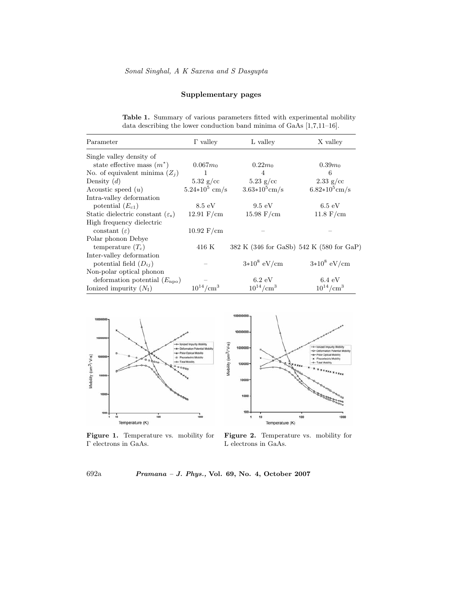# **Supplementary pages**

|  |  | <b>Table 1.</b> Summary of various parameters fitted with experimental mobility |
|--|--|---------------------------------------------------------------------------------|
|  |  | data describing the lower conduction band minima of GaAs $[1,7,11-16]$ .        |

| Parameter                                          | $\Gamma$ valley       | L valley                                 | X valley              |
|----------------------------------------------------|-----------------------|------------------------------------------|-----------------------|
| Single valley density of                           |                       |                                          |                       |
| state effective mass $(m^*)$                       | $0.067m_0$            | $0.22m_0$                                | $0.39m_0$             |
| No. of equivalent minima $(Z_i)$                   | 1                     | 4                                        | 6                     |
| Density $(d)$                                      | $5.32$ g/cc           | $5.23$ g/cc                              | $2.33$ g/cc           |
| Acoustic speed $(u)$                               | $5.24*10^5$ cm/s      | $3.63*10^5$ cm/s                         | $6.82*10^5$ cm/s      |
| Intra-valley deformation                           |                       |                                          |                       |
| potential $(E_{c1})$                               | $8.5 \text{ eV}$      | $9.5 \text{ eV}$                         | $6.5 \text{ eV}$      |
| Static dielectric constant $(\varepsilon_{\rm s})$ | $12.91 \text{ F/cm}$  | $15.98 \text{ F/cm}$                     | $11.8 \text{ F/cm}$   |
| High frequency dielectric                          |                       |                                          |                       |
| constant $(\varepsilon)$                           | $10.92 \text{ F/cm}$  |                                          |                       |
| Polar phonon Debye                                 |                       |                                          |                       |
| temperature $(T_c)$                                | 416 K                 | 382 K (346 for GaSb) 542 K (580 for GaP) |                       |
| Inter-valley deformation                           |                       |                                          |                       |
| potential field $(D_{ii})$                         |                       | $3*10^8$ eV/cm                           | $3*10^8$ eV/cm        |
| Non-polar optical phonon                           |                       |                                          |                       |
| deformation potential $(E_{\rm apo})$              |                       | $6.2 \text{ eV}$                         | $6.4 \text{ eV}$      |
| Ionized impurity $(N_I)$                           | $10^{14}/\text{cm}^3$ | $10^{14}/\text{cm}^3$                    | $10^{14}/\text{cm}^3$ |



**Figure 1.** Temperature vs. mobility for Γ electrons in GaAs.



**Figure 2.** Temperature vs. mobility for L electrons in GaAs.

692a *Pramana – J. Phys.,* **Vol. 69, No. 4, October 2007**

Mobility (cm<sup>2</sup>/ V-s)